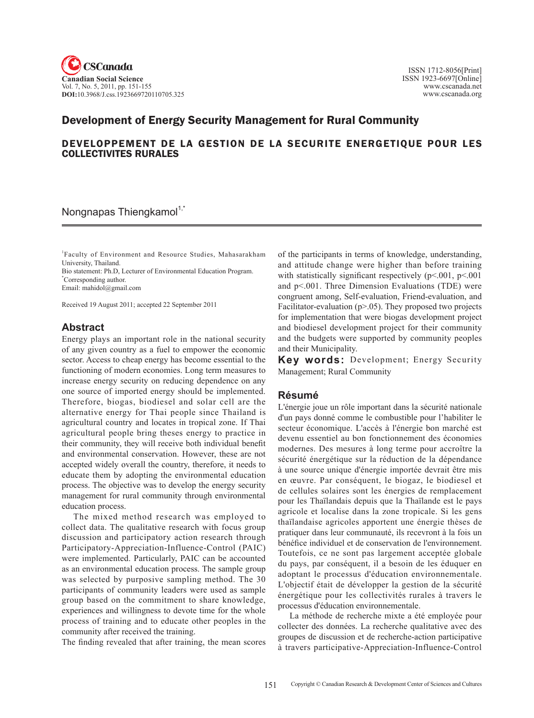

# Development of Energy Security Management for Rural Community

### DEVELOPPEMENT DE LA GESTION DE LA SECURITE ENERGETIQUE POUR LES COLLECTIVITES RURALES

#### Nongnapas Thiengkamol<sup>1,\*</sup>

1 Faculty of Environment and Resource Studies, Mahasarakham University, Thailand.

Bio statement: Ph.D, Lecturer of Environmental Education Program. \* Corresponding author.

Email: mahidol@gmail.com

Received 19 August 2011; accepted 22 September 2011

## **Abstract**

Energy plays an important role in the national security of any given country as a fuel to empower the economic sector. Access to cheap energy has become essential to the functioning of modern economies. Long term measures to increase energy security on reducing dependence on any one source of imported energy should be implemented. Therefore, biogas, biodiesel and solar cell are the alternative energy for Thai people since Thailand is agricultural country and locates in tropical zone. If Thai agricultural people bring theses energy to practice in their community, they will receive both individual benefit and environmental conservation. However, these are not accepted widely overall the country, therefore, it needs to educate them by adopting the environmental education process. The objective was to develop the energy security management for rural community through environmental education process.

The mixed method research was employed to collect data. The qualitative research with focus group discussion and participatory action research through Participatory-Appreciation-Influence-Control (PAIC) were implemented. Particularly, PAIC can be accounted as an environmental education process. The sample group was selected by purposive sampling method. The 30 participants of community leaders were used as sample group based on the commitment to share knowledge, experiences and willingness to devote time for the whole process of training and to educate other peoples in the community after received the training.

The finding revealed that after training, the mean scores

of the participants in terms of knowledge, understanding, and attitude change were higher than before training with statistically significant respectively (p<.001, p<.001 and p<.001. Three Dimension Evaluations (TDE) were congruent among, Self-evaluation, Friend-evaluation, and Facilitator-evaluation (p>.05). They proposed two projects for implementation that were biogas development project and biodiesel development project for their community and the budgets were supported by community peoples and their Municipality.

**Key words:** Development; Energy Security Management; Rural Community

### **Résumé**

L'énergie joue un rôle important dans la sécurité nationale d'un pays donné comme le combustible pour l'habiliter le secteur économique. L'accès à l'énergie bon marché est devenu essentiel au bon fonctionnement des économies modernes. Des mesures à long terme pour accroître la sécurité énergétique sur la réduction de la dépendance à une source unique d'énergie importée devrait être mis en œuvre. Par conséquent, le biogaz, le biodiesel et de cellules solaires sont les énergies de remplacement pour les Thaïlandais depuis que la Thaïlande est le pays agricole et localise dans la zone tropicale. Si les gens thaïlandaise agricoles apportent une énergie thèses de pratiquer dans leur communauté, ils recevront à la fois un bénéfice individuel et de conservation de l'environnement. Toutefois, ce ne sont pas largement acceptée globale du pays, par conséquent, il a besoin de les éduquer en adoptant le processus d'éducation environnementale. L'objectif était de développer la gestion de la sécurité énergétique pour les collectivités rurales à travers le processus d'éducation environnementale.

La méthode de recherche mixte a été employée pour collecter des données. La recherche qualitative avec des groupes de discussion et de recherche-action participative à travers participative-Appreciation-Influence-Control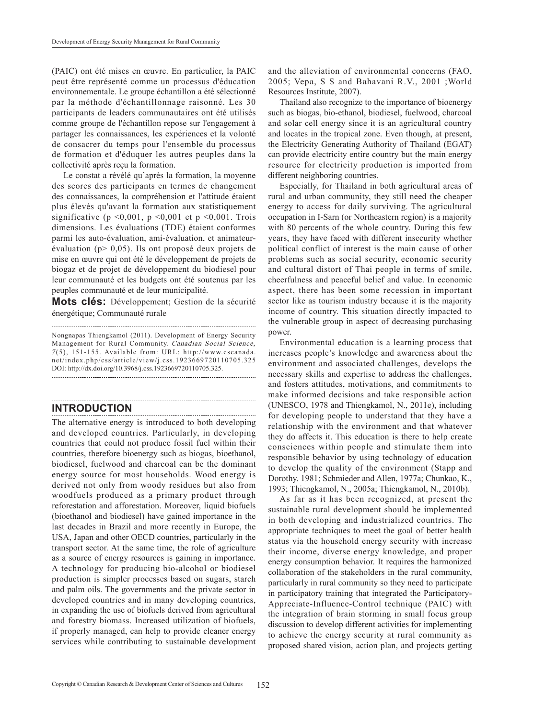(PAIC) ont été mises en œuvre. En particulier, la PAIC peut être représenté comme un processus d'éducation environnementale. Le groupe échantillon a été sélectionné par la méthode d'échantillonnage raisonné. Les 30 participants de leaders communautaires ont été utilisés comme groupe de l'échantillon repose sur l'engagement à partager les connaissances, les expériences et la volonté de consacrer du temps pour l'ensemble du processus de formation et d'éduquer les autres peuples dans la collectivité après reçu la formation.

Le constat a révélé qu'après la formation, la moyenne des scores des participants en termes de changement des connaissances, la compréhension et l'attitude étaient plus élevés qu'avant la formation aux statistiquement significative ( $p \le 0.001$ ,  $p \le 0.001$  et  $p \le 0.001$ . Trois dimensions. Les évaluations (TDE) étaient conformes parmi les auto-évaluation, ami-évaluation, et animateurévaluation (p> 0,05). Ils ont proposé deux projets de mise en œuvre qui ont été le développement de projets de biogaz et de projet de développement du biodiesel pour leur communauté et les budgets ont été soutenus par les peuples communauté et de leur municipalité.

**Mots clés:** Développement; Gestion de la sécurité énergétique; Communauté rurale

Nongnapas Thiengkamol (2011). Development of Energy Security Management for Rural Community. Canadian Social Science, <sup>7</sup> (5), 151-155. Available from: URL: http://www.cscanada. net/index.php/css/article/view/j.css.1923669720110705.325 DOI: http://dx.doi.org/10.3968/j.css.1923669720110705.325.

# **Introduction**

The alternative energy is introduced to both developing and developed countries. Particularly, in developing countries that could not produce fossil fuel within their countries, therefore bioenergy such as biogas, bioethanol, biodiesel, fuelwood and charcoal can be the dominant energy source for most households. Wood energy is derived not only from woody residues but also from woodfuels produced as a primary product through reforestation and afforestation. Moreover, liquid biofuels (bioethanol and biodiesel) have gained importance in the last decades in Brazil and more recently in Europe, the USA, Japan and other OECD countries, particularly in the transport sector. At the same time, the role of agriculture as a source of energy resources is gaining in importance. A technology for producing bio-alcohol or biodiesel production is simpler processes based on sugars, starch and palm oils. The governments and the private sector in developed countries and in many developing countries, in expanding the use of biofuels derived from agricultural and forestry biomass. Increased utilization of biofuels, if properly managed, can help to provide cleaner energy services while contributing to sustainable development

and the alleviation of environmental concerns (FAO, 2005; Vepa, S S and Bahavani R.V., 2001 ;World Resources Institute, 2007).

Thailand also recognize to the importance of bioenergy such as biogas, bio-ethanol, biodiesel, fuelwood, charcoal and solar cell energy since it is an agricultural country and locates in the tropical zone. Even though, at present, the Electricity Generating Authority of Thailand (EGAT) can provide electricity entire country but the main energy resource for electricity production is imported from different neighboring countries.

Especially, for Thailand in both agricultural areas of rural and urban community, they still need the cheaper energy to access for daily surviving. The agricultural occupation in I-Sarn (or Northeastern region) is a majority with 80 percents of the whole country. During this few years, they have faced with different insecurity whether political conflict of interest is the main cause of other problems such as social security, economic security and cultural distort of Thai people in terms of smile, cheerfulness and peaceful belief and value. In economic aspect, there has been some recession in important sector like as tourism industry because it is the majority income of country. This situation directly impacted to the vulnerable group in aspect of decreasing purchasing power.

Environmental education is a learning process that increases people's knowledge and awareness about the environment and associated challenges, develops the necessary skills and expertise to address the challenges, and fosters attitudes, motivations, and commitments to make informed decisions and take responsible action (UNESCO, 1978 and Thiengkamol, N., 2011e), including for developing people to understand that they have a relationship with the environment and that whatever they do affects it. This education is there to help create consciences within people and stimulate them into responsible behavior by using technology of education to develop the quality of the environment (Stapp and Dorothy. 1981; Schmieder and Allen, 1977a; Chunkao, K., 1993; Thiengkamol, N., 2005a; Thiengkamol, N., 2010b).

As far as it has been recognized, at present the sustainable rural development should be implemented in both developing and industrialized countries. The appropriate techniques to meet the goal of better health status via the household energy security with increase their income, diverse energy knowledge, and proper energy consumption behavior. It requires the harmonized collaboration of the stakeholders in the rural community, particularly in rural community so they need to participate in participatory training that integrated the Participatory-Appreciate-Influence-Control technique (PAIC) with the integration of brain storming in small focus group discussion to develop different activities for implementing to achieve the energy security at rural community as proposed shared vision, action plan, and projects getting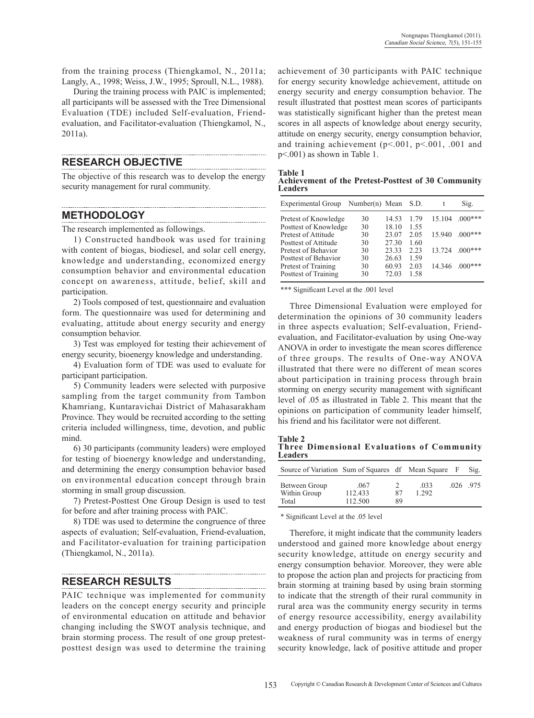from the training process (Thiengkamol, N., 2011a; Langly, A., 1998; Weiss, J.W., 1995; Sproull, N.L., 1988).

During the training process with PAIC is implemented; all participants will be assessed with the Tree Dimensional Evaluation (TDE) included Self-evaluation, Friendevaluation, and Facilitator-evaluation (Thiengkamol, N., 2011a).

#### **Research Objective**

The objective of this research was to develop the energy security management for rural community.

#### **Methodology**

The research implemented as followings.

1) Constructed handbook was used for training with content of biogas, biodiesel, and solar cell energy, knowledge and understanding, economized energy consumption behavior and environmental education concept on awareness, attitude, belief, skill and participation.

2) Tools composed of test, questionnaire and evaluation form. The questionnaire was used for determining and evaluating, attitude about energy security and energy consumption behavior.

3) Test was employed for testing their achievement of energy security, bioenergy knowledge and understanding.

4) Evaluation form of TDE was used to evaluate for participant participation.

5) Community leaders were selected with purposive sampling from the target community from Tambon Khamriang, Kuntaravichai District of Mahasarakham Province. They would be recruited according to the setting criteria included willingness, time, devotion, and public mind.

6) 30 participants (community leaders) were employed for testing of bioenergy knowledge and understanding, and determining the energy consumption behavior based on environmental education concept through brain storming in small group discussion.

7) Pretest-Posttest One Group Design is used to test for before and after training process with PAIC.

8) TDE was used to determine the congruence of three aspects of evaluation; Self-evaluation, Friend-evaluation, and Facilitator-evaluation for training participation (Thiengkamol, N., 2011a).

## **Research Results**

PAIC technique was implemented for community leaders on the concept energy security and principle of environmental education on attitude and behavior changing including the SWOT analysis technique, and brain storming process. The result of one group pretestposttest design was used to determine the training achievement of 30 participants with PAIC technique for energy security knowledge achievement, attitude on energy security and energy consumption behavior. The result illustrated that posttest mean scores of participants was statistically significant higher than the pretest mean scores in all aspects of knowledge about energy security, attitude on energy security, energy consumption behavior, and training achievement ( $p<.001$ ,  $p<.001$ , .001 and p<.001) as shown in Table 1.

**Table 1** 

| <b>Achievement of the Pretest-Posttest of 30 Community</b> |  |  |  |
|------------------------------------------------------------|--|--|--|
| <b>Leaders</b>                                             |  |  |  |

| Experimental Group    | Number(n) Mean |       | S.D. |        | Sig.      |
|-----------------------|----------------|-------|------|--------|-----------|
| Pretest of Knowledge  | 30             | 14.53 | 179  | 15.104 | $.000***$ |
| Posttest of Knowledge | 30             | 18.10 | 1.55 |        |           |
| Pretest of Attitude   | 30             | 23.07 | 2.05 | 15.940 | $.000***$ |
| Posttest of Attitude  | 30             | 27.30 | 1.60 |        |           |
| Pretest of Behavior   | 30             | 23.33 | 2.23 | 13 724 | $0.00***$ |
| Posttest of Behavior  | 30             | 26.63 | 1.59 |        |           |
| Pretest of Training   | 30             | 60.93 | 2.03 | 14.346 | $000***$  |
| Posttest of Training  | 30             | 72.03 | 1.58 |        |           |
|                       |                |       |      |        |           |

\*\*\* Significant Level at the .001 level

Three Dimensional Evaluation were employed for determination the opinions of 30 community leaders in three aspects evaluation; Self-evaluation, Friendevaluation, and Facilitator-evaluation by using One-way ANOVA in order to investigate the mean scores difference of three groups. The results of One-way ANOVA illustrated that there were no different of mean scores about participation in training process through brain storming on energy security management with significant level of .05 as illustrated in Table 2. This meant that the opinions on participation of community leader himself, his friend and his facilitator were not different.

**Table 2 Three Dimensional Evaluations of Community Leaders**

| Source of Variation Sum of Squares df Mean Square F |                            |                           |               | $Si2$ . |
|-----------------------------------------------------|----------------------------|---------------------------|---------------|---------|
| Between Group<br>Within Group<br>Total              | .067<br>112.433<br>112.500 | $\mathcal{D}$<br>87<br>89 | .033<br>1 292 | 026 975 |

\* Significant Level at the .05 level

Therefore, it might indicate that the community leaders understood and gained more knowledge about energy security knowledge, attitude on energy security and energy consumption behavior. Moreover, they were able to propose the action plan and projects for practicing from brain storming at training based by using brain storming to indicate that the strength of their rural community in rural area was the community energy security in terms of energy resource accessibility, energy availability and energy production of biogas and biodiesel but the weakness of rural community was in terms of energy security knowledge, lack of positive attitude and proper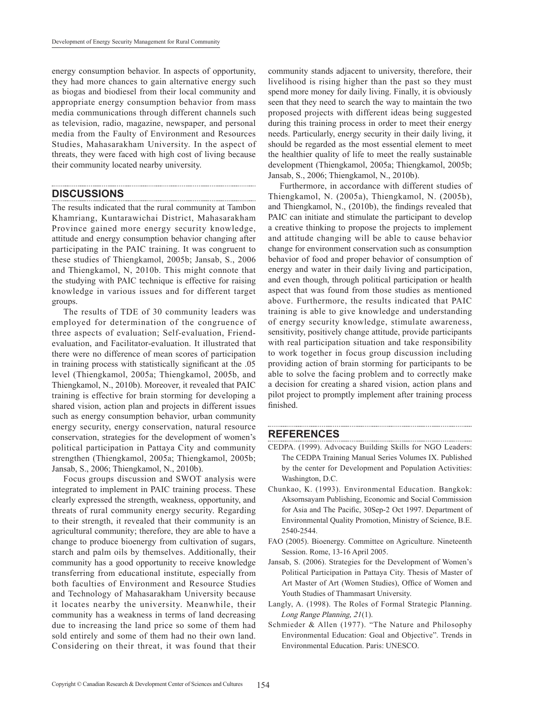energy consumption behavior. In aspects of opportunity, they had more chances to gain alternative energy such as biogas and biodiesel from their local community and appropriate energy consumption behavior from mass media communications through different channels such as television, radio, magazine, newspaper, and personal media from the Faulty of Environment and Resources Studies, Mahasarakham University. In the aspect of threats, they were faced with high cost of living because their community located nearby university.

#### **Discussions**

The results indicated that the rural community at Tambon Khamriang, Kuntarawichai District, Mahasarakham Province gained more energy security knowledge, attitude and energy consumption behavior changing after participating in the PAIC training. It was congruent to these studies of Thiengkamol, 2005b; Jansab, S., 2006 and Thiengkamol, N, 2010b. This might connote that the studying with PAIC technique is effective for raising knowledge in various issues and for different target groups.

The results of TDE of 30 community leaders was employed for determination of the congruence of three aspects of evaluation; Self-evaluation, Friendevaluation, and Facilitator-evaluation. It illustrated that there were no difference of mean scores of participation in training process with statistically significant at the .05 level (Thiengkamol, 2005a; Thiengkamol, 2005b, and Thiengkamol, N., 2010b). Moreover, it revealed that PAIC training is effective for brain storming for developing a shared vision, action plan and projects in different issues such as energy consumption behavior, urban community energy security, energy conservation, natural resource conservation, strategies for the development of women's political participation in Pattaya City and community strengthen (Thiengkamol, 2005a; Thiengkamol, 2005b; Jansab, S., 2006; Thiengkamol, N., 2010b).

Focus groups discussion and SWOT analysis were integrated to implement in PAIC training process. These clearly expressed the strength, weakness, opportunity, and threats of rural community energy security. Regarding to their strength, it revealed that their community is an agricultural community; therefore, they are able to have a change to produce bioenergy from cultivation of sugars, starch and palm oils by themselves. Additionally, their community has a good opportunity to receive knowledge transferring from educational institute, especially from both faculties of Environment and Resource Studies and Technology of Mahasarakham University because it locates nearby the university. Meanwhile, their community has a weakness in terms of land decreasing due to increasing the land price so some of them had sold entirely and some of them had no their own land. Considering on their threat, it was found that their community stands adjacent to university, therefore, their livelihood is rising higher than the past so they must spend more money for daily living. Finally, it is obviously seen that they need to search the way to maintain the two proposed projects with different ideas being suggested during this training process in order to meet their energy needs. Particularly, energy security in their daily living, it should be regarded as the most essential element to meet the healthier quality of life to meet the really sustainable development (Thiengkamol, 2005a; Thiengkamol, 2005b; Jansab, S., 2006; Thiengkamol, N., 2010b).

Furthermore, in accordance with different studies of Thiengkamol, N. (2005a), Thiengkamol, N. (2005b), and Thiengkamol, N., (2010b), the findings revealed that PAIC can initiate and stimulate the participant to develop a creative thinking to propose the projects to implement and attitude changing will be able to cause behavior change for environment conservation such as consumption behavior of food and proper behavior of consumption of energy and water in their daily living and participation, and even though, through political participation or health aspect that was found from those studies as mentioned above. Furthermore, the results indicated that PAIC training is able to give knowledge and understanding of energy security knowledge, stimulate awareness, sensitivity, positively change attitude, provide participants with real participation situation and take responsibility to work together in focus group discussion including providing action of brain storming for participants to be able to solve the facing problem and to correctly make a decision for creating a shared vision, action plans and pilot project to promptly implement after training process finished.

#### **ReferenceS**

- CEDPA. (1999). Advocacy Building Skills for NGO Leaders: The CEDPA Training Manual Series Volumes IX. Published by the center for Development and Population Activities: Washington, D.C.
- Chunkao, K. (1993). Environmental Education. Bangkok: Aksornsayam Publishing, Economic and Social Commission for Asia and The Pacific, 30Sep-2 Oct 1997. Department of Environmental Quality Promotion, Ministry of Science, B.E. 2540-2544.
- FAO (2005). Bioenergy. Committee on Agriculture. Nineteenth Session. Rome, 13-16 April 2005.
- Jansab, S. (2006). Strategies for the Development of Women's Political Participation in Pattaya City. Thesis of Master of Art Master of Art (Women Studies), Office of Women and Youth Studies of Thammasart University.
- Langly, A. (1998). The Roles of Formal Strategic Planning. Long Range Planning, 21(1).
- Schmieder & Allen (1977). "The Nature and Philosophy Environmental Education: Goal and Objective". Trends in Environmental Education. Paris: UNESCO.